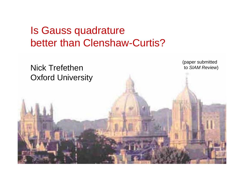# Is Gauss quadrature better than Clenshaw-Curtis?

Nick Trefethen Oxford University (paper submitted to *SIAM Review*)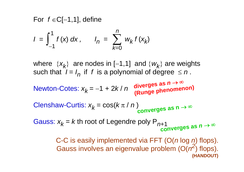For *f* ∈C[−1,1], define

$$
I = \int_{-1}^{1} f(x) \, dx, \qquad I_n = \sum_{k=0}^{n} w_k \, f(x_k)
$$

where  $\{x_k\}$  are nodes in [−1,1] and  $\{w_k\}$  are weights such that  $I = I_n$  if *f* is a polynomial of degree  $\le n$ .

Newton-Cotes: 
$$
x_k = -1 + 2k/n
$$
 diverges as  $n \to \infty$   
(Runge phenomenon)

Clenshaw-Curtis: 
$$
x_k = cos(k π / n)
$$
  
converges as n → ∞

Gauss:  $x_k$  =  $k$  th root of Legendre poly P<sub>n+1</sub> **converges as** *<sup>n</sup>* → ∞

> C-C is easily implemented via FFT (O(*<sup>n</sup>* log *n*) flops). Gauss involves an eigenvalue problem (O(*n<sup>2</sup>*) flops). **(HANDOUT)**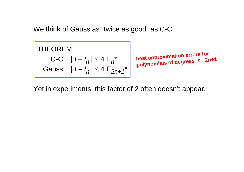We think of Gauss as "twice as good" as C-C:

THEOREM  
C-C: 
$$
|I - I_n| \le 4 E_n^*
$$
  
Gauss:  $|I - I_n| \le 4 E_{2n+1}^*$ 

**best** approximation errors for polynomials of degrees n, 2n+1

Yet in experiments, this factor of 2 often doesn't appear.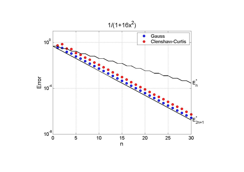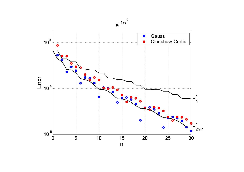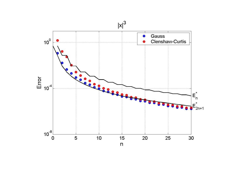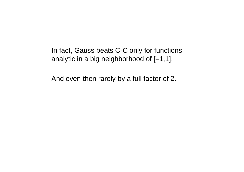In fact, Gauss beats C-C only for functions analytic in a big neighborhood of [ <sup>−</sup>1,1].

And even then rarely by a full factor of 2.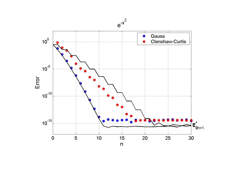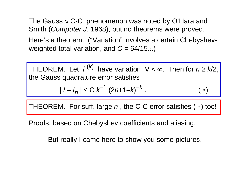The Gauss  $\approx$  C-C phenomenon was noted by O'Hara and Smith (*Computer J.* 1968), but no theorems were proved.

Here's a theorem. ("Variation" involves a certain Chebyshevweighted total variation, and  $C = 64/15\pi$ .)

THEOREM. Let  $f^{(k)}$  have variation  $V < \infty$ . Then for  $n \geq k/2$ , the Gauss quadrature error satisfies

$$
|1 - I_n| \le C \; k^{-1} \; (2n+1-k)^{-k} \,. \tag{*}
$$

THEOREM. For suff. large *<sup>n</sup>*, the C-C error satisfies ( <sup>∗</sup>) too!

Proofs: based on Chebyshev coefficients and aliasing.

But really I came here to show you some pictures.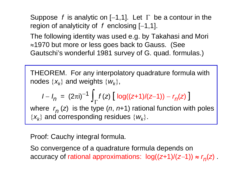Suppose *f* is analytic on [−1,1]. Let Γ be a contour in the region of analyticity of *f* enclosing [−1,1].

The following identity was used e.g. by Takahasi and Mori <sup>≈</sup>1970 but more or less goes back to Gauss. (See Gautschi's wonderful 1981 survey of G. quad. formulas.)

THEOREM. For any interpolatory quadrature formula with nodes  $\{x_k\}$  and weights  $\{w_k\}$ ,

$$
I - I_n = (2\pi i)^{-1} \int_{\Gamma} f(z) \left[ \log((z+1)/(z-1)) - r_n(z) \right]
$$

where  $r_n(z)$  is the type (*n*, *n*+1) rational function with poles  $\{x_k\}$  and corresponding residues  $\{w_k\}$ .

## Proof: Cauchy integral formula.

So convergence of a quadrature formula depends on accuracy of rational approximations:  $log((z+1)/(z-1)) \approx r_n(z)$ .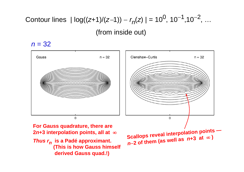Contour lines  $|log((z+1)/(z-1)) - r_n(z)| = 10^0, 10^{-1}, 10^{-2}, ...$ (from inside out)

## $n = 32$

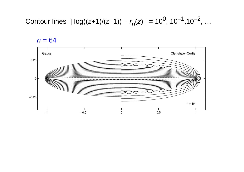Contour lines 
$$
| \log((z+1)/(z-1)) - r_n(z) | = 10^0, 10^{-1}, 10^{-2}, ...
$$

 $n = 64$ 

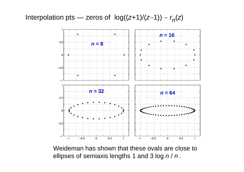### Interpolation pts — zeros of log(( *<sup>z</sup>*+1)/( *z* <sup>−</sup>1)) − *r n*( *<sup>z</sup>*)



Weideman has shown that these ovals are close to ellipses of semiaxis lengths 1 and 3 log *n* / *n .*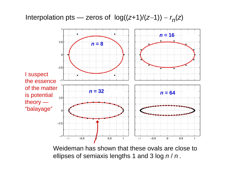### Interpolation pts — zeros of log(( *<sup>z</sup>*+1)/( *z* <sup>−</sup>1)) − *r n*( *<sup>z</sup>*)



Weideman has shown that these ovals are close to ellipses of semiaxis lengths 1 and 3 log *n* / *n .*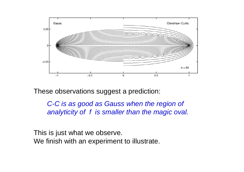

These observations suggest a prediction:

*C-C is as good as Gauss when the region of analyticity of f is smaller than the magic oval.*

This is just what we observe. We finish with an experiment to illustrate.